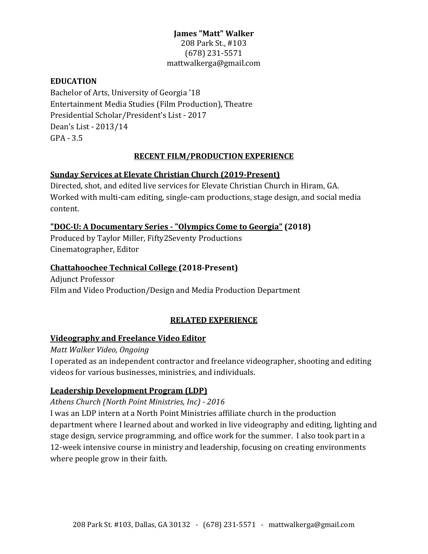## **James "Matt" Walker** 208 Park St., #103 (678) 231-5571 mattwalkerga@gmail.com

#### **EDUCATION**

Bachelor of Arts, University of Georgia '18 Entertainment Media Studies (Film Production), Theatre Presidential Scholar/President's List - 2017 Dean's List - 2013/14 GPA - 3.5

### **RECENT FILM/PRODUCTION EXPERIENCE**

## **Sunday Services at Elevate Christian Church (2019-Present)**

Directed, shot, and edited live services for Elevate Christian Church in Hiram, GA. Worked with multi-cam editing, single-cam productions, stage design, and social media content.

## **"DOC-U: A Documentary Series - "Olympics Come to Georgia" (2018)**

Produced by Taylor Miller, Fifty2Seventy Productions Cinematographer, Editor

## **Chattahoochee Technical College (2018-Present)**

Adjunct Professor Film and Video Production/Design and Media Production Department

# **RELATED EXPERIENCE**

### **Videography and Freelance Video Editor**

*Matt Walker Video, Ongoing* I operated as an independent contractor and freelance videographer, shooting and editing videos for various businesses, ministries, and individuals.

### **Leadership Development Program (LDP)**

*Athens Church (North Point Ministries, Inc) - 2016*

I was an LDP intern at a North Point Ministries affiliate church in the production department where I learned about and worked in live videography and editing, lighting and stage design, service programming, and office work for the summer. I also took part in a 12-week intensive course in ministry and leadership, focusing on creating environments where people grow in their faith.